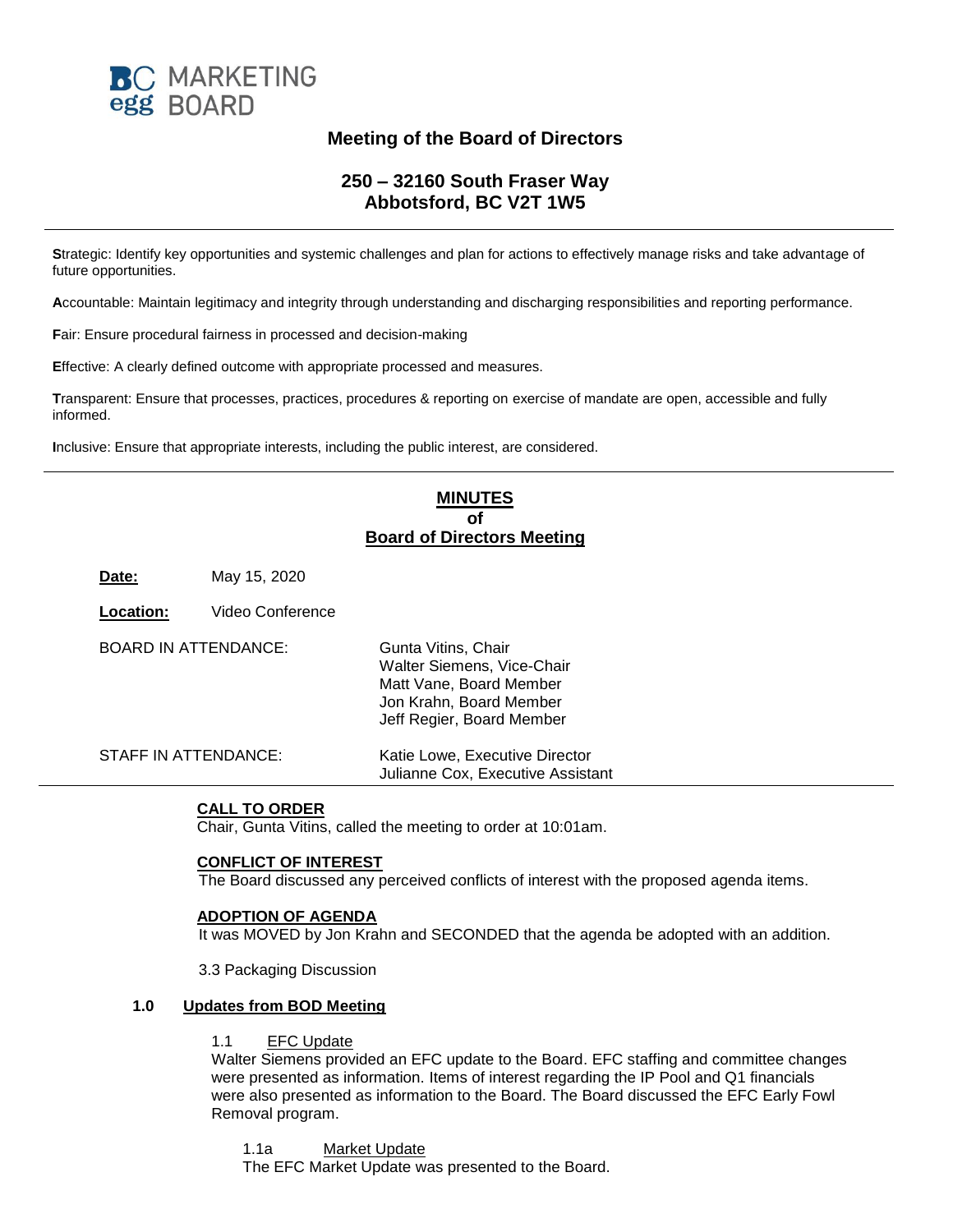

# **Meeting of the Board of Directors**

## **250 – 32160 South Fraser Way Abbotsford, BC V2T 1W5**

**S**trategic: Identify key opportunities and systemic challenges and plan for actions to effectively manage risks and take advantage of future opportunities.

**A**ccountable: Maintain legitimacy and integrity through understanding and discharging responsibilities and reporting performance.

**F**air: Ensure procedural fairness in processed and decision-making

**E**ffective: A clearly defined outcome with appropriate processed and measures.

**T**ransparent: Ensure that processes, practices, procedures & reporting on exercise of mandate are open, accessible and fully informed.

**I**nclusive: Ensure that appropriate interests, including the public interest, are considered.

## **MINUTES of Board of Directors Meeting**

**Date:** May 15, 2020

**Location:** Video Conference

| BOARD IN ATTENDANCE: | Gunta Vitins, Chair<br>Walter Siemens, Vice-Chair<br>Matt Vane, Board Member<br>Jon Krahn, Board Member<br>Jeff Regier, Board Member |
|----------------------|--------------------------------------------------------------------------------------------------------------------------------------|
| STAFF IN ATTENDANCE: | Katie Lowe, Executive Director<br>Julianne Cox, Executive Assistant                                                                  |

#### **CALL TO ORDER**

Chair, Gunta Vitins, called the meeting to order at 10:01am.

## **CONFLICT OF INTEREST**

The Board discussed any perceived conflicts of interest with the proposed agenda items.

#### **ADOPTION OF AGENDA**

It was MOVED by Jon Krahn and SECONDED that the agenda be adopted with an addition.

3.3 Packaging Discussion

#### **1.0 Updates from BOD Meeting**

#### 1.1 EFC Update

Walter Siemens provided an EFC update to the Board. EFC staffing and committee changes were presented as information. Items of interest regarding the IP Pool and Q1 financials were also presented as information to the Board. The Board discussed the EFC Early Fowl Removal program.

1.1a Market Update

The EFC Market Update was presented to the Board.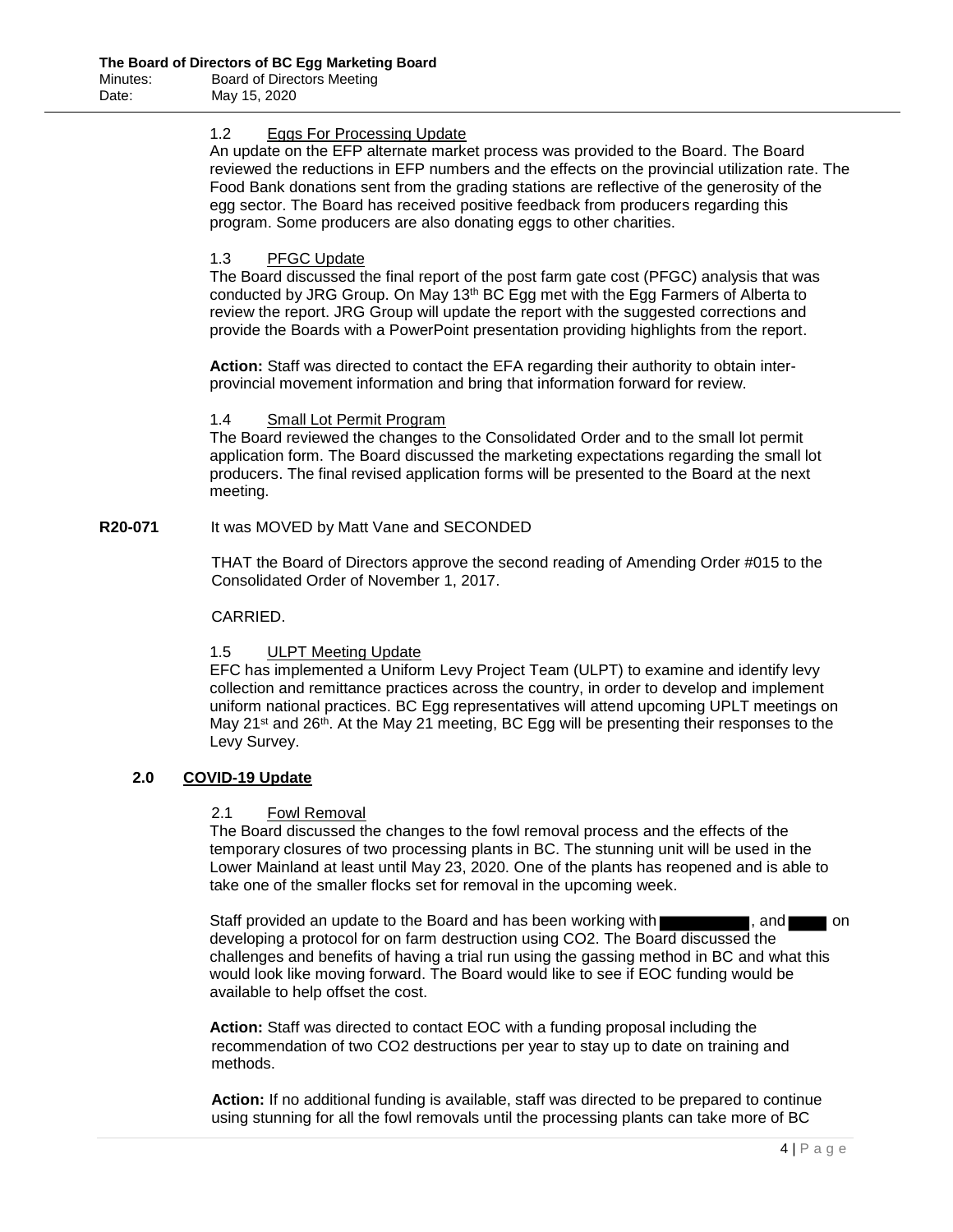#### 1.2 Eggs For Processing Update

An update on the EFP alternate market process was provided to the Board. The Board reviewed the reductions in EFP numbers and the effects on the provincial utilization rate. The Food Bank donations sent from the grading stations are reflective of the generosity of the egg sector. The Board has received positive feedback from producers regarding this program. Some producers are also donating eggs to other charities.

### 1.3 PFGC Update

The Board discussed the final report of the post farm gate cost (PFGC) analysis that was conducted by JRG Group. On May  $13<sup>th</sup>$  BC Egg met with the Egg Farmers of Alberta to review the report. JRG Group will update the report with the suggested corrections and provide the Boards with a PowerPoint presentation providing highlights from the report.

**Action:** Staff was directed to contact the EFA regarding their authority to obtain interprovincial movement information and bring that information forward for review.

#### 1.4 Small Lot Permit Program

The Board reviewed the changes to the Consolidated Order and to the small lot permit application form. The Board discussed the marketing expectations regarding the small lot producers. The final revised application forms will be presented to the Board at the next meeting.

**R20-071** It was MOVED by Matt Vane and SECONDED

THAT the Board of Directors approve the second reading of Amending Order #015 to the Consolidated Order of November 1, 2017.

## CARRIED.

#### 1.5 ULPT Meeting Update

EFC has implemented a Uniform Levy Project Team (ULPT) to examine and identify levy collection and remittance practices across the country, in order to develop and implement uniform national practices. BC Egg representatives will attend upcoming UPLT meetings on May 21<sup>st</sup> and 26<sup>th</sup>. At the May 21 meeting, BC Egg will be presenting their responses to the Levy Survey.

#### **2.0 COVID-19 Update**

#### 2.1 Fowl Removal

The Board discussed the changes to the fowl removal process and the effects of the temporary closures of two processing plants in BC. The stunning unit will be used in the Lower Mainland at least until May 23, 2020. One of the plants has reopened and is able to take one of the smaller flocks set for removal in the upcoming week.

Staff provided an update to the Board and has been working with  $\blacksquare$ , and on developing a protocol for on farm destruction using CO2. The Board discussed the challenges and benefits of having a trial run using the gassing method in BC and what this would look like moving forward. The Board would like to see if EOC funding would be available to help offset the cost.

**Action:** Staff was directed to contact EOC with a funding proposal including the recommendation of two CO2 destructions per year to stay up to date on training and methods.

**Action:** If no additional funding is available, staff was directed to be prepared to continue using stunning for all the fowl removals until the processing plants can take more of BC